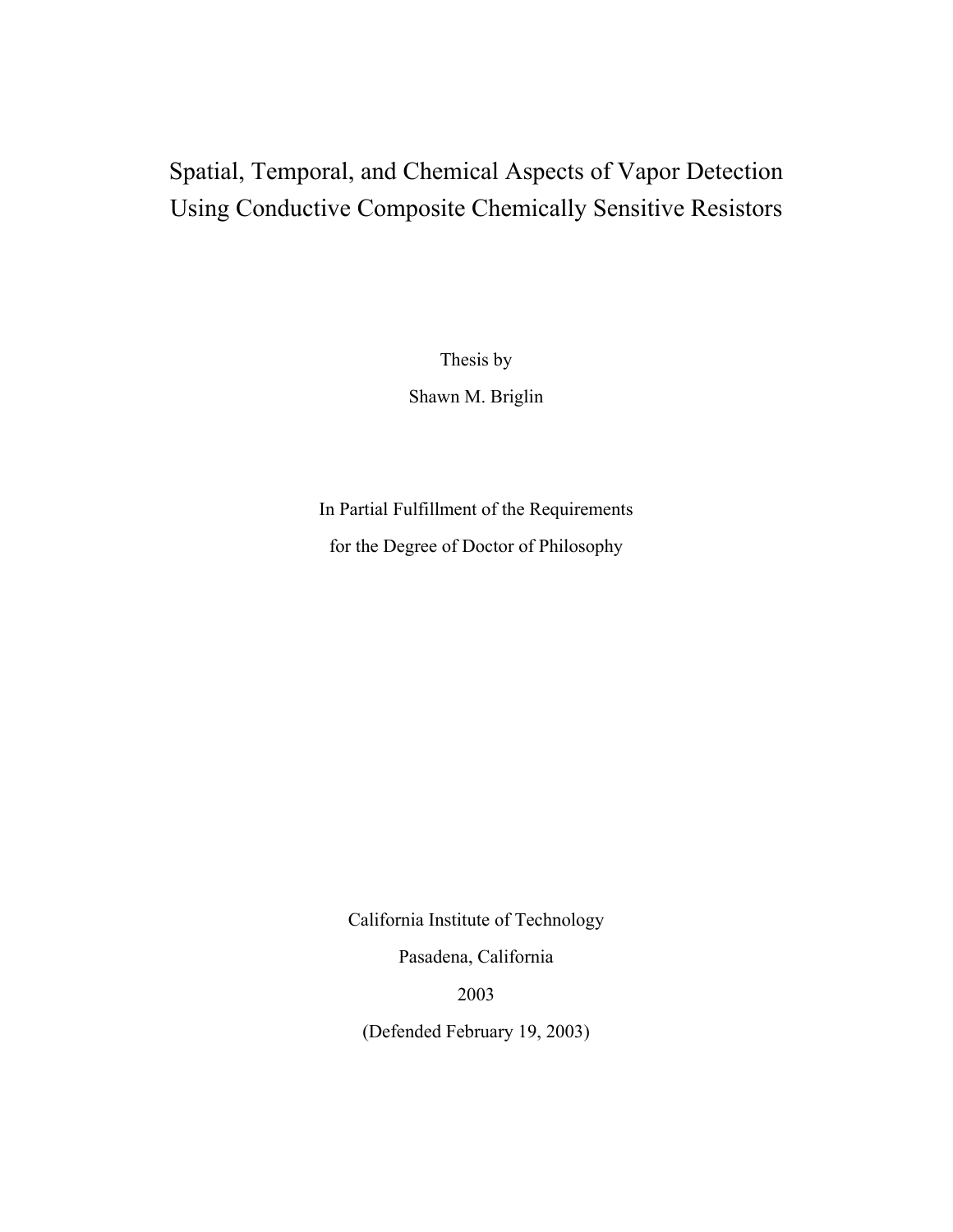# Spatial, Temporal, and Chemical Aspects of Vapor Detection Using Conductive Composite Chemically Sensitive Resistors

Thesis by

Shawn M. Briglin

In Partial Fulfillment of the Requirements for the Degree of Doctor of Philosophy

California Institute of Technology

Pasadena, California

2003

(Defended February 19, 2003)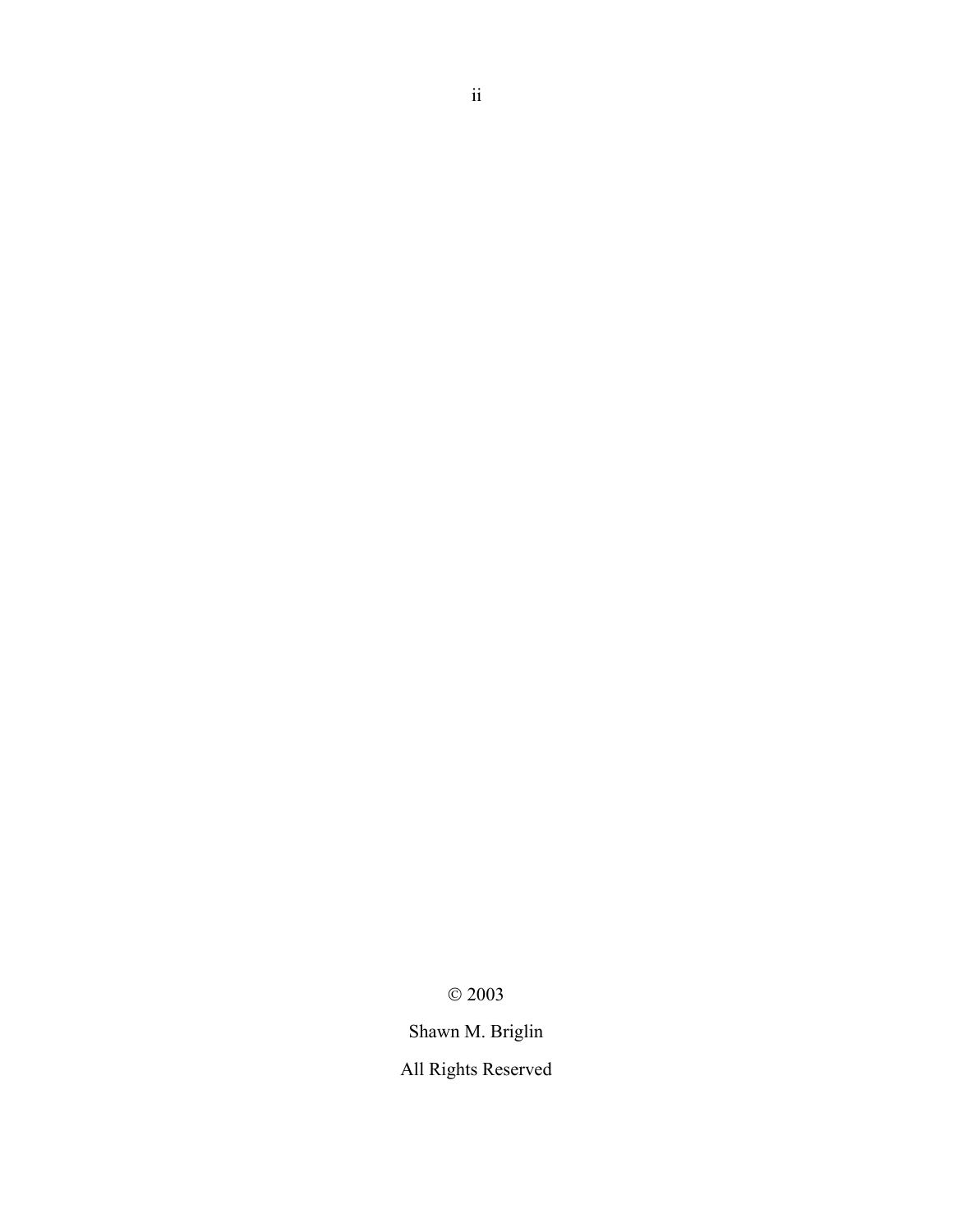$\odot$  2003

Shawn M. Briglin

All Rights Reserved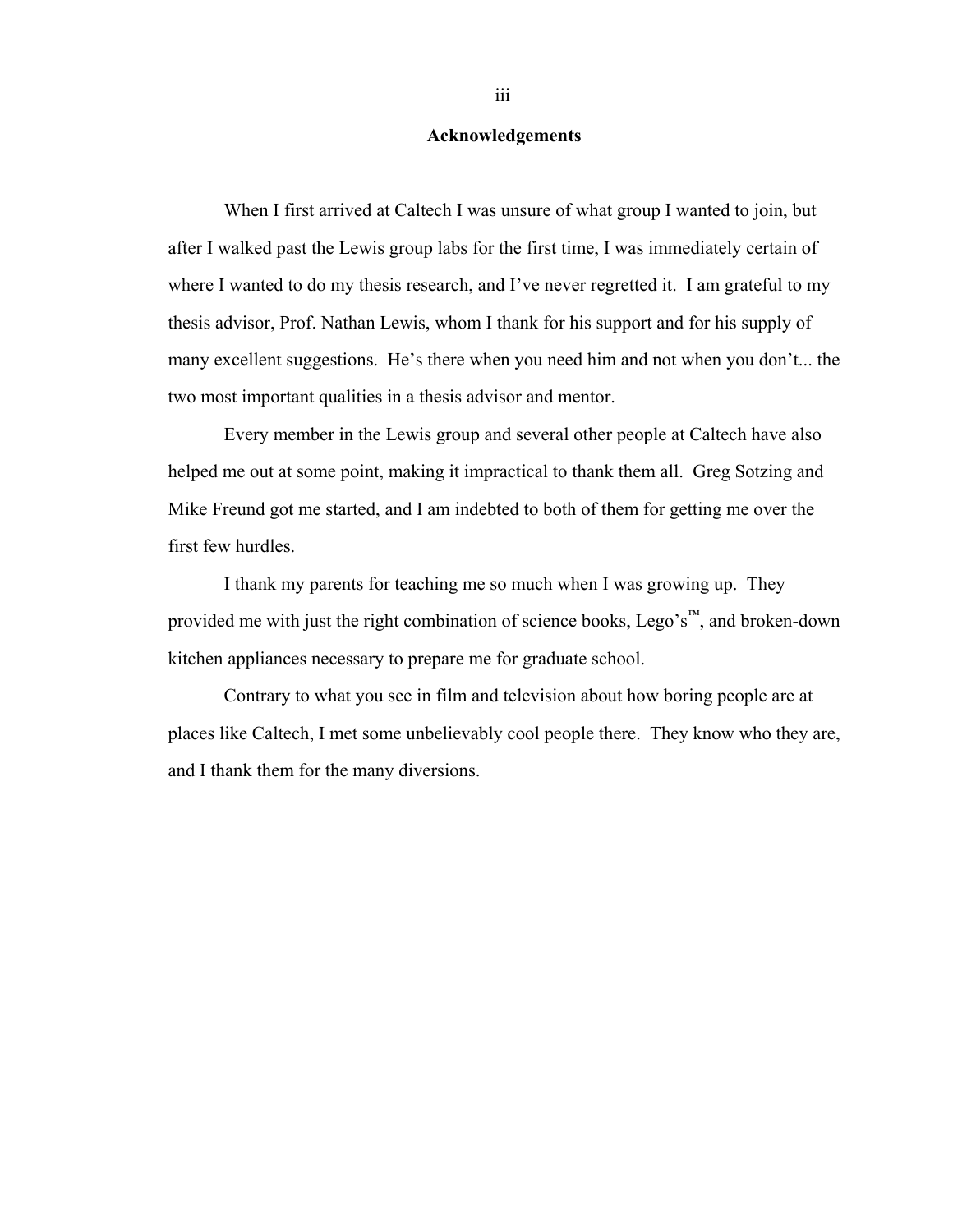#### **Acknowledgements**

When I first arrived at Caltech I was unsure of what group I wanted to join, but after I walked past the Lewis group labs for the first time, I was immediately certain of where I wanted to do my thesis research, and I've never regretted it. I am grateful to my thesis advisor, Prof. Nathan Lewis, whom I thank for his support and for his supply of many excellent suggestions. He's there when you need him and not when you don't... the two most important qualities in a thesis advisor and mentor.

Every member in the Lewis group and several other people at Caltech have also helped me out at some point, making it impractical to thank them all. Greg Sotzing and Mike Freund got me started, and I am indebted to both of them for getting me over the first few hurdles.

I thank my parents for teaching me so much when I was growing up. They provided me with just the right combination of science books, Lego's™, and broken-down kitchen appliances necessary to prepare me for graduate school.

Contrary to what you see in film and television about how boring people are at places like Caltech, I met some unbelievably cool people there. They know who they are, and I thank them for the many diversions.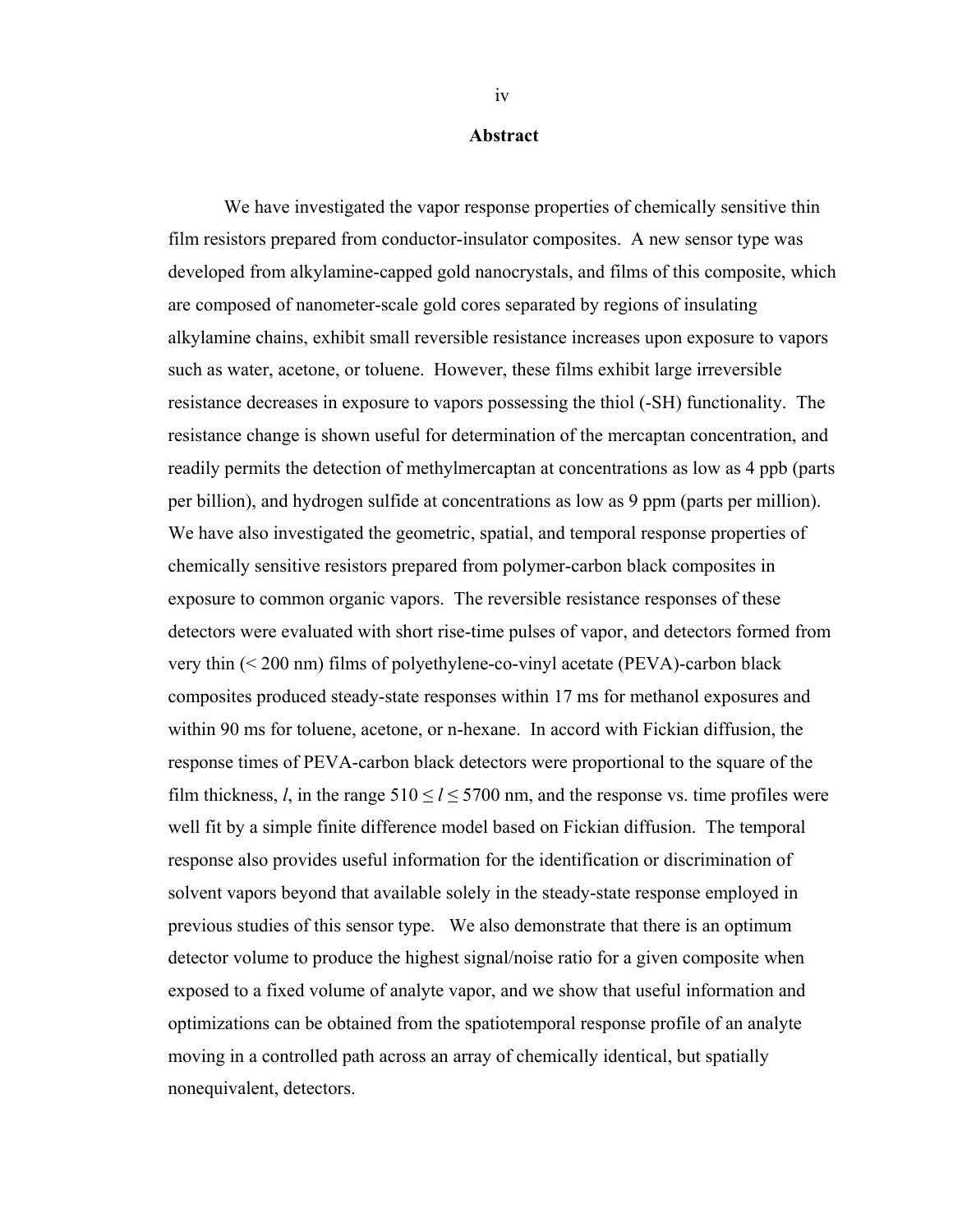#### **Abstract**

 We have investigated the vapor response properties of chemically sensitive thin film resistors prepared from conductor-insulator composites. A new sensor type was developed from alkylamine-capped gold nanocrystals, and films of this composite, which are composed of nanometer-scale gold cores separated by regions of insulating alkylamine chains, exhibit small reversible resistance increases upon exposure to vapors such as water, acetone, or toluene. However, these films exhibit large irreversible resistance decreases in exposure to vapors possessing the thiol (-SH) functionality. The resistance change is shown useful for determination of the mercaptan concentration, and readily permits the detection of methylmercaptan at concentrations as low as 4 ppb (parts per billion), and hydrogen sulfide at concentrations as low as 9 ppm (parts per million). We have also investigated the geometric, spatial, and temporal response properties of chemically sensitive resistors prepared from polymer-carbon black composites in exposure to common organic vapors. The reversible resistance responses of these detectors were evaluated with short rise-time pulses of vapor, and detectors formed from very thin (< 200 nm) films of polyethylene-co-vinyl acetate (PEVA)-carbon black composites produced steady-state responses within 17 ms for methanol exposures and within 90 ms for toluene, acetone, or n-hexane. In accord with Fickian diffusion, the response times of PEVA-carbon black detectors were proportional to the square of the film thickness, *l*, in the range  $510 \le l \le 5700$  nm, and the response vs. time profiles were well fit by a simple finite difference model based on Fickian diffusion. The temporal response also provides useful information for the identification or discrimination of solvent vapors beyond that available solely in the steady-state response employed in previous studies of this sensor type. We also demonstrate that there is an optimum detector volume to produce the highest signal/noise ratio for a given composite when exposed to a fixed volume of analyte vapor, and we show that useful information and optimizations can be obtained from the spatiotemporal response profile of an analyte moving in a controlled path across an array of chemically identical, but spatially nonequivalent, detectors.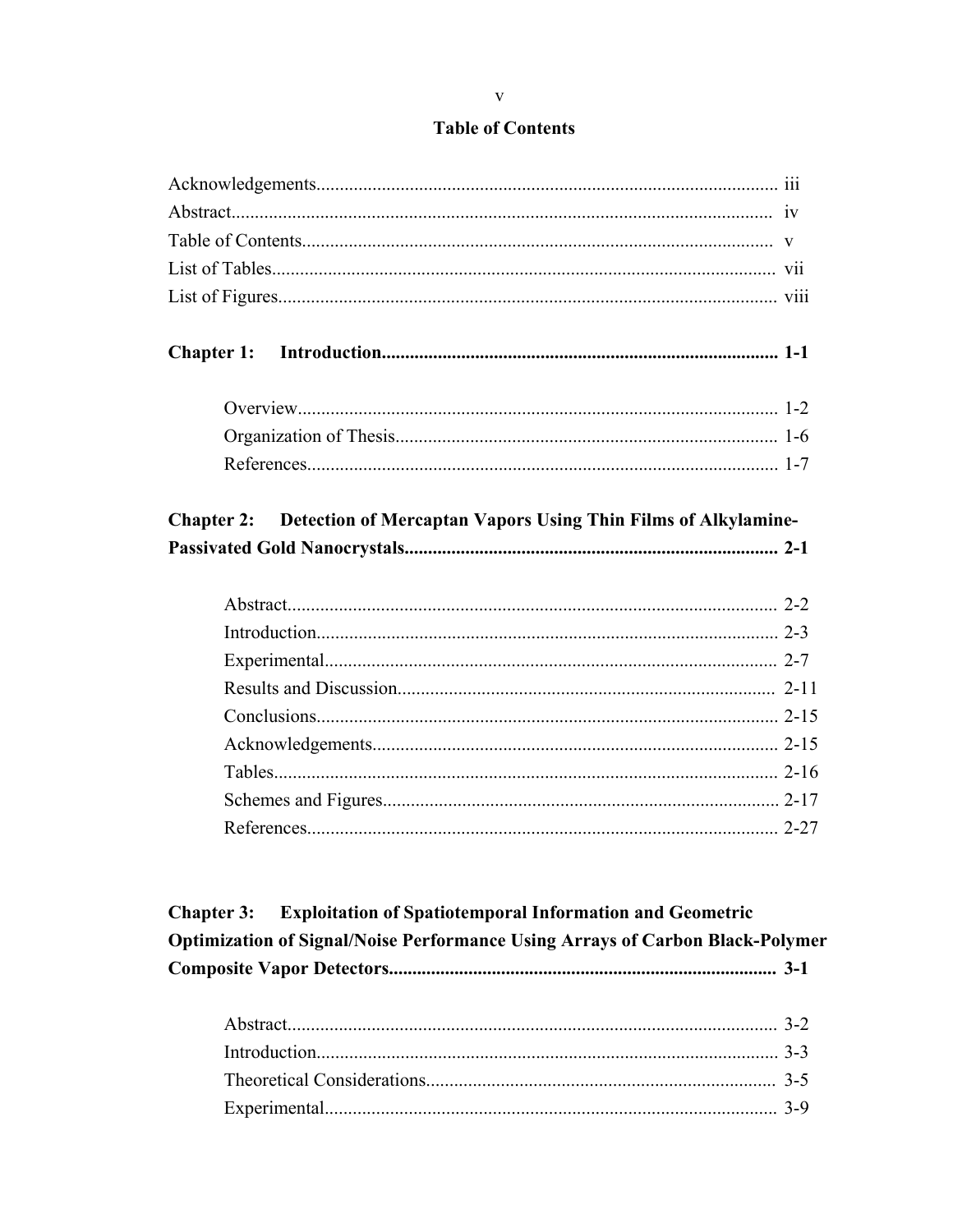#### **Table of Contents**

| <b>Chapter 2:</b> | Detection of Mercaptan Vapors Using Thin Films of Alkylamine- |  |
|-------------------|---------------------------------------------------------------|--|
|                   |                                                               |  |
|                   |                                                               |  |
|                   |                                                               |  |
|                   |                                                               |  |
|                   |                                                               |  |
|                   |                                                               |  |
|                   |                                                               |  |
|                   |                                                               |  |
|                   |                                                               |  |
|                   |                                                               |  |

**Exploitation of Spatiotemporal Information and Geometric Chapter 3: Optimization of Signal/Noise Performance Using Arrays of Carbon Black-Polymer**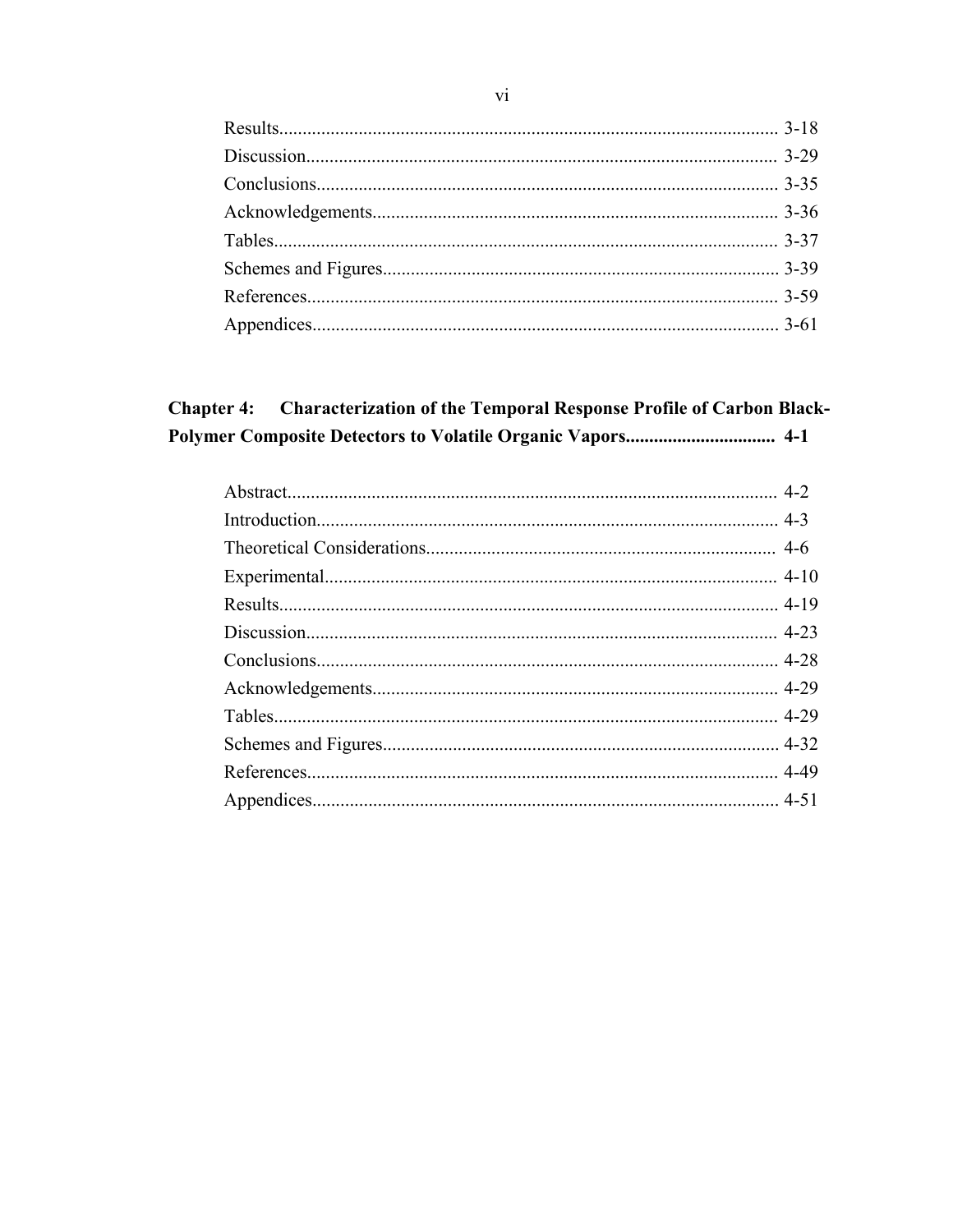#### **Chapter 4:** Characterization of the Temporal Response Profile of Carbon Black-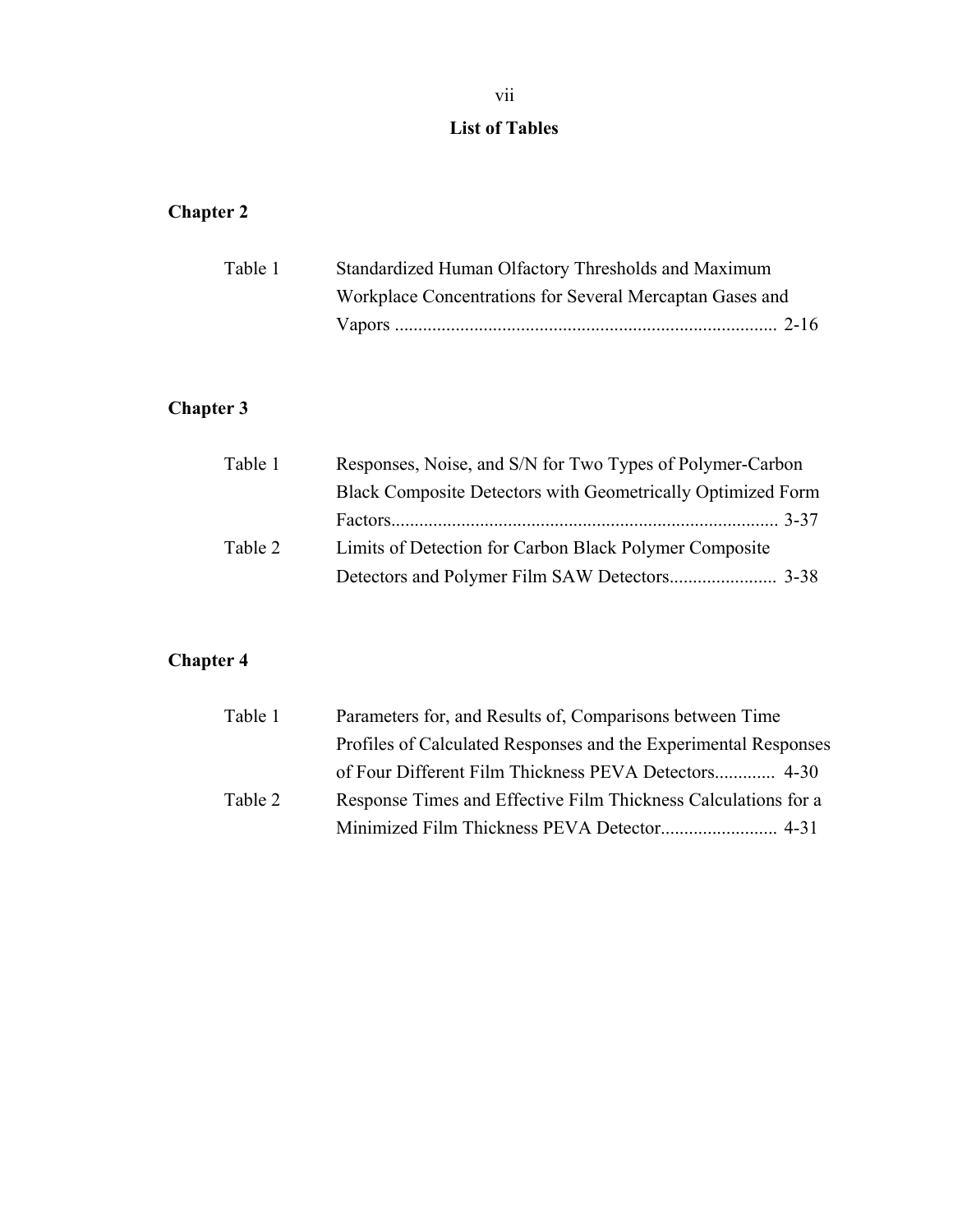#### **List of Tables**

### **Chapter 2**

| Table 1 | Standardized Human Olfactory Thresholds and Maximum      |  |
|---------|----------------------------------------------------------|--|
|         | Workplace Concentrations for Several Mercaptan Gases and |  |
|         |                                                          |  |

### **Chapter 3**

| Table 1 | Responses, Noise, and S/N for Two Types of Polymer-Carbon   |
|---------|-------------------------------------------------------------|
|         | Black Composite Detectors with Geometrically Optimized Form |
|         |                                                             |
| Table 2 | Limits of Detection for Carbon Black Polymer Composite      |
|         |                                                             |

### **Chapter 4**

| Parameters for, and Results of, Comparisons between Time |                                                                                                                                   |
|----------------------------------------------------------|-----------------------------------------------------------------------------------------------------------------------------------|
|                                                          |                                                                                                                                   |
|                                                          |                                                                                                                                   |
|                                                          |                                                                                                                                   |
|                                                          |                                                                                                                                   |
|                                                          | Profiles of Calculated Responses and the Experimental Responses<br>Response Times and Effective Film Thickness Calculations for a |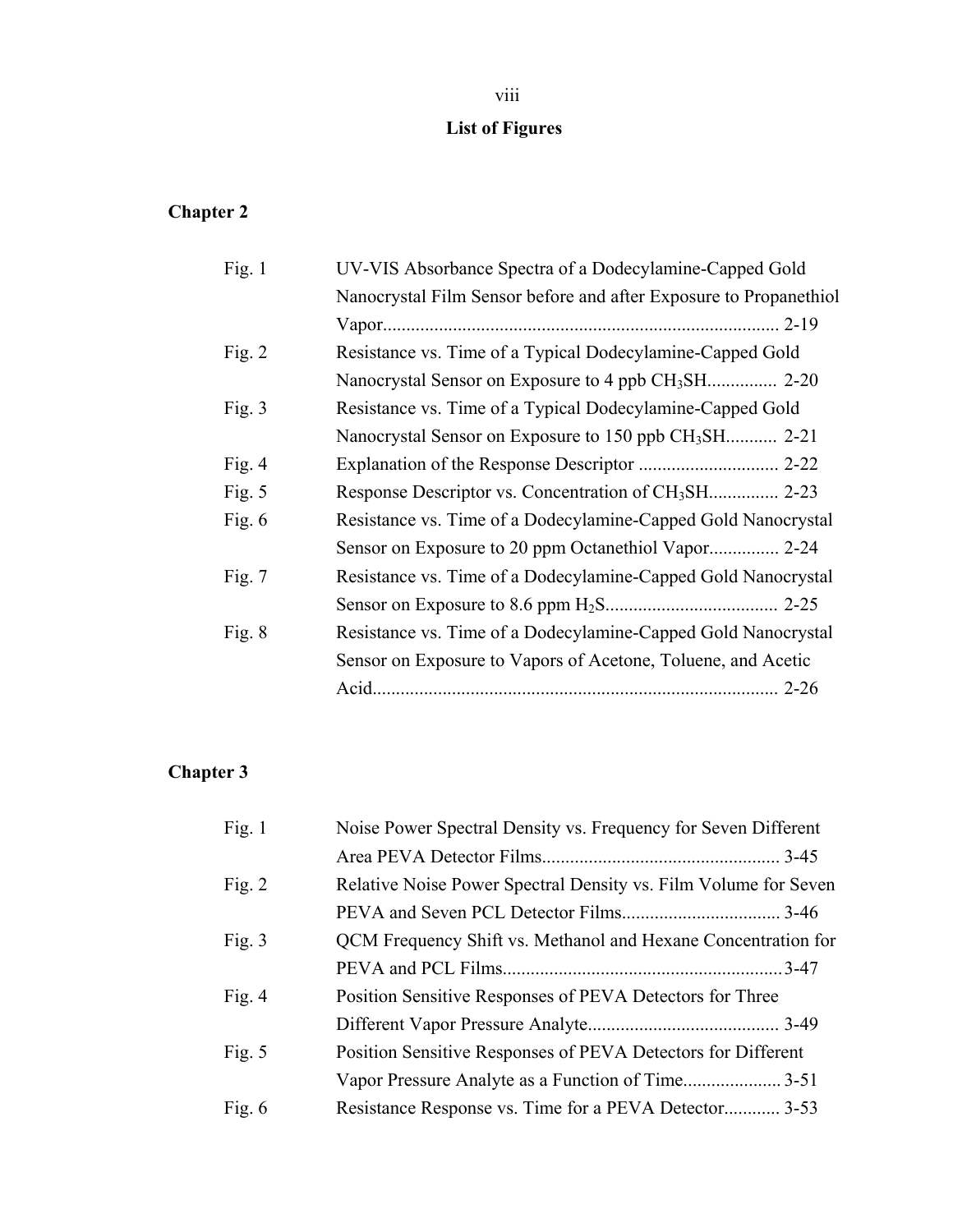# **List of Figures**

### **Chapter 2**

| Fig. $1$ | UV-VIS Absorbance Spectra of a Dodecylamine-Capped Gold           |  |
|----------|-------------------------------------------------------------------|--|
|          | Nanocrystal Film Sensor before and after Exposure to Propanethiol |  |
|          |                                                                   |  |
| Fig. $2$ | Resistance vs. Time of a Typical Dodecylamine-Capped Gold         |  |
|          |                                                                   |  |
| Fig. $3$ | Resistance vs. Time of a Typical Dodecylamine-Capped Gold         |  |
|          | Nanocrystal Sensor on Exposure to 150 ppb CH <sub>3</sub> SH 2-21 |  |
| Fig. $4$ |                                                                   |  |
| Fig. $5$ |                                                                   |  |
| Fig. $6$ | Resistance vs. Time of a Dodecylamine-Capped Gold Nanocrystal     |  |
|          | Sensor on Exposure to 20 ppm Octanethiol Vapor 2-24               |  |
| Fig. $7$ | Resistance vs. Time of a Dodecylamine-Capped Gold Nanocrystal     |  |
|          |                                                                   |  |
| Fig. $8$ | Resistance vs. Time of a Dodecylamine-Capped Gold Nanocrystal     |  |
|          | Sensor on Exposure to Vapors of Acetone, Toluene, and Acetic      |  |
|          | $2 - 26$                                                          |  |
|          |                                                                   |  |

### **Chapter 3**

| Fig. $1$ | Noise Power Spectral Density vs. Frequency for Seven Different  |  |
|----------|-----------------------------------------------------------------|--|
|          |                                                                 |  |
| Fig. $2$ | Relative Noise Power Spectral Density vs. Film Volume for Seven |  |
|          |                                                                 |  |
| Fig. $3$ | QCM Frequency Shift vs. Methanol and Hexane Concentration for   |  |
|          |                                                                 |  |
| Fig. $4$ | Position Sensitive Responses of PEVA Detectors for Three        |  |
|          |                                                                 |  |
| Fig. $5$ | Position Sensitive Responses of PEVA Detectors for Different    |  |
|          |                                                                 |  |
| Fig. $6$ | Resistance Response vs. Time for a PEVA Detector 3-53           |  |
|          |                                                                 |  |

### viii